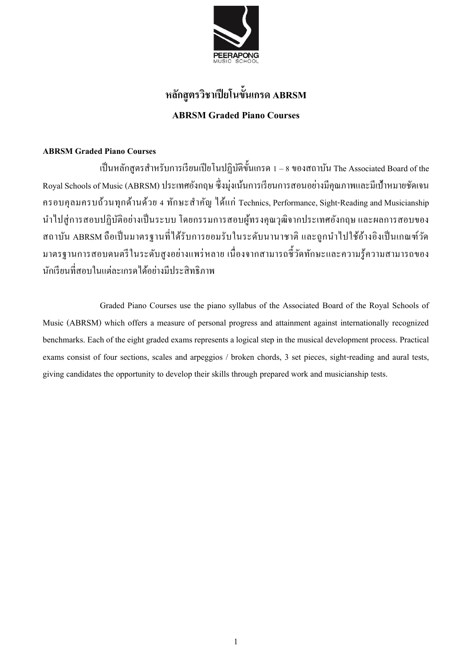

## **หลกัสูตรวิชาเปียโนข้นัเกรด ABRSM ABRSM Graded Piano Courses**

### **ABRSM Graded Piano Courses**

เป็นหลักสูตรสำหรับการเรียนเปียโนปฏิบัติขั้นเกรด 1 – 8 ของสถาบัน The Associated Board of the Royal Schools of Music (ABRSM) ประเทศองักฤษ ซ่ึงมุ่งเนน้กำรเรียนกำรสอนอยำ่ งมีคุณภำพและมีเป้ำหมำยชดัเจน ครอบคุลมครบถ้วนทุกด้ำนด้วย 4 ทักษะส ำคัญ ได้แก่ Technics, Performance, Sight-Reading and Musicianship นำ ไปสู่กำรสอบปฏิบตัิอย่ำงเป็นระบบ โดยกรรมกำรสอบผูท้ รงคุณวุฒิจำกประเทศอังกฤษ และผลกำรสอบของ ี สถาบัน ABRSM ถือเป็นมาตรฐานที่ได้รับการยอมรับในระดับนานาชาติ และถูกนำไปใช้อ้างอิงเป็นเกณฑ์วัด ้มาตรฐานการสอบคนตรีในระดับสูงอย่างแพร่หลาย เนื่องจากสามารถชี้วัดทักษะและความรู้ความสามารถของ นกัเรียนที่สอบในแต่ละเกรดไดอ้ยำ่ งมีประสิทธิภำพ

Graded Piano Courses use the piano syllabus of the Associated Board of the Royal Schools of Music (ABRSM) which offers a measure of personal progress and attainment against internationally recognized benchmarks. Each of the eight graded exams represents a logical step in the musical development process. Practical exams consist of four sections, scales and arpeggios / broken chords, 3 set pieces, sight-reading and aural tests, giving candidates the opportunity to develop their skills through prepared work and musicianship tests.